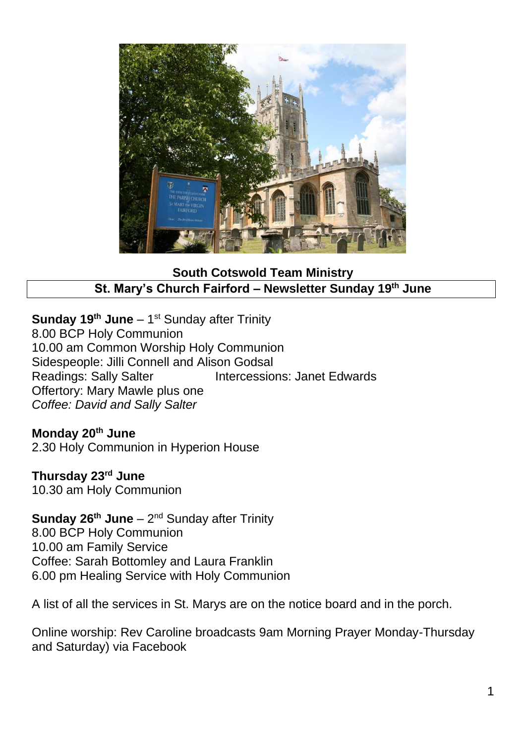

**South Cotswold Team Ministry St. Mary's Church Fairford – Newsletter Sunday 19 th June**

**Sunday 19<sup>th</sup> June** – 1<sup>st</sup> Sunday after Trinity 8.00 BCP Holy Communion 10.00 am Common Worship Holy Communion Sidespeople: Jilli Connell and Alison Godsal Readings: Sally Salter **Intercessions: Janet Edwards** Offertory: Mary Mawle plus one *Coffee: David and Sally Salter*

### **Monday 20th June**

2.30 Holy Communion in Hyperion House

## **Thursday 23rd June**

10.30 am Holy Communion

**Sunday 26<sup>th</sup> June** – 2<sup>nd</sup> Sunday after Trinity 8.00 BCP Holy Communion 10.00 am Family Service Coffee: Sarah Bottomley and Laura Franklin 6.00 pm Healing Service with Holy Communion

A list of all the services in St. Marys are on the notice board and in the porch.

Online worship: Rev Caroline broadcasts 9am Morning Prayer Monday-Thursday and Saturday) via Facebook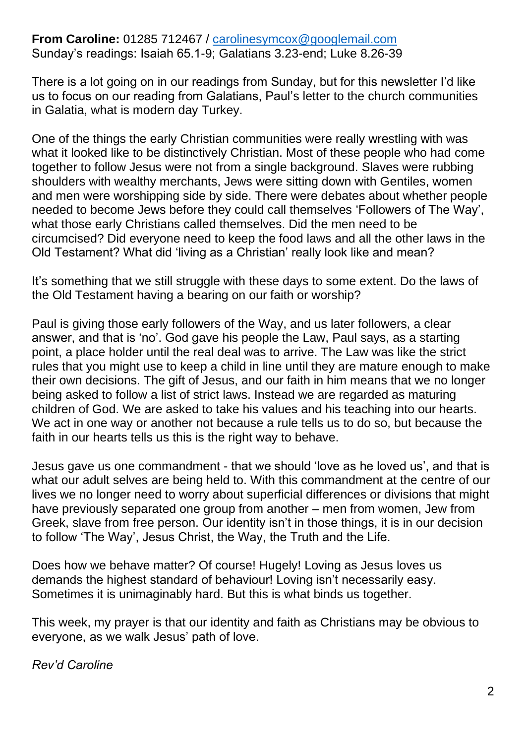## **From Caroline:** 01285 712467 / carolinesymcox@googlemail.com Sunday's readings: Isaiah 65.1-9; Galatians 3.23-end; Luke 8.26-39

There is a lot going on in our readings from Sunday, but for this newsletter I'd like us to focus on our reading from Galatians, Paul's letter to the church communities in Galatia, what is modern day Turkey.

One of the things the early Christian communities were really wrestling with was what it looked like to be distinctively Christian. Most of these people who had come together to follow Jesus were not from a single background. Slaves were rubbing shoulders with wealthy merchants, Jews were sitting down with Gentiles, women and men were worshipping side by side. There were debates about whether people needed to become Jews before they could call themselves 'Followers of The Way', what those early Christians called themselves. Did the men need to be circumcised? Did everyone need to keep the food laws and all the other laws in the Old Testament? What did 'living as a Christian' really look like and mean?

It's something that we still struggle with these days to some extent. Do the laws of the Old Testament having a bearing on our faith or worship?

Paul is giving those early followers of the Way, and us later followers, a clear answer, and that is 'no'. God gave his people the Law, Paul says, as a starting point, a place holder until the real deal was to arrive. The Law was like the strict rules that you might use to keep a child in line until they are mature enough to make their own decisions. The gift of Jesus, and our faith in him means that we no longer being asked to follow a list of strict laws. Instead we are regarded as maturing children of God. We are asked to take his values and his teaching into our hearts. We act in one way or another not because a rule tells us to do so, but because the faith in our hearts tells us this is the right way to behave.

Jesus gave us one commandment - that we should 'love as he loved us', and that is what our adult selves are being held to. With this commandment at the centre of our lives we no longer need to worry about superficial differences or divisions that might have previously separated one group from another – men from women, Jew from Greek, slave from free person. Our identity isn't in those things, it is in our decision to follow 'The Way', Jesus Christ, the Way, the Truth and the Life.

Does how we behave matter? Of course! Hugely! Loving as Jesus loves us demands the highest standard of behaviour! Loving isn't necessarily easy. Sometimes it is unimaginably hard. But this is what binds us together.

This week, my prayer is that our identity and faith as Christians may be obvious to everyone, as we walk Jesus' path of love.

*Rev'd Caroline*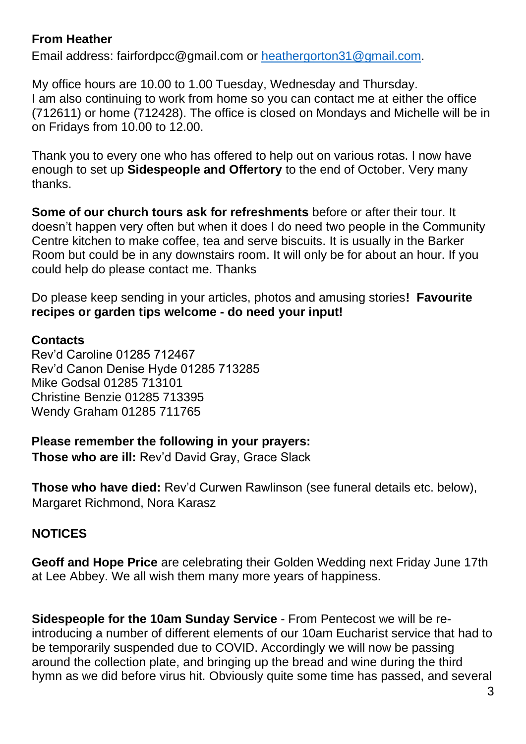# **From Heather**

Email address: fairfordpcc@gmail.com or [heathergorton31@gmail.com.](mailto:heathergorton31@gmail.com)

My office hours are 10.00 to 1.00 Tuesday, Wednesday and Thursday. I am also continuing to work from home so you can contact me at either the office (712611) or home (712428). The office is closed on Mondays and Michelle will be in on Fridays from 10.00 to 12.00.

Thank you to every one who has offered to help out on various rotas. I now have enough to set up **Sidespeople and Offertory** to the end of October. Very many thanks.

**Some of our church tours ask for refreshments** before or after their tour. It doesn't happen very often but when it does I do need two people in the Community Centre kitchen to make coffee, tea and serve biscuits. It is usually in the Barker Room but could be in any downstairs room. It will only be for about an hour. If you could help do please contact me. Thanks

Do please keep sending in your articles, photos and amusing stories**! Favourite recipes or garden tips welcome - do need your input!**

# **Contacts**

Rev'd Caroline 01285 712467 Rev'd Canon Denise Hyde 01285 713285 Mike Godsal 01285 713101 Christine Benzie 01285 713395 Wendy Graham 01285 711765

**Please remember the following in your prayers:** 

**Those who are ill:** Rev'd David Gray, Grace Slack

**Those who have died:** Rev'd Curwen Rawlinson (see funeral details etc. below), Margaret Richmond, Nora Karasz

# **NOTICES**

**Geoff and Hope Price** are celebrating their Golden Wedding next Friday June 17th at Lee Abbey. We all wish them many more years of happiness.

**Sidespeople for the 10am Sunday Service** - From Pentecost we will be reintroducing a number of different elements of our 10am Eucharist service that had to be temporarily suspended due to COVID. Accordingly we will now be passing around the collection plate, and bringing up the bread and wine during the third hymn as we did before virus hit. Obviously quite some time has passed, and several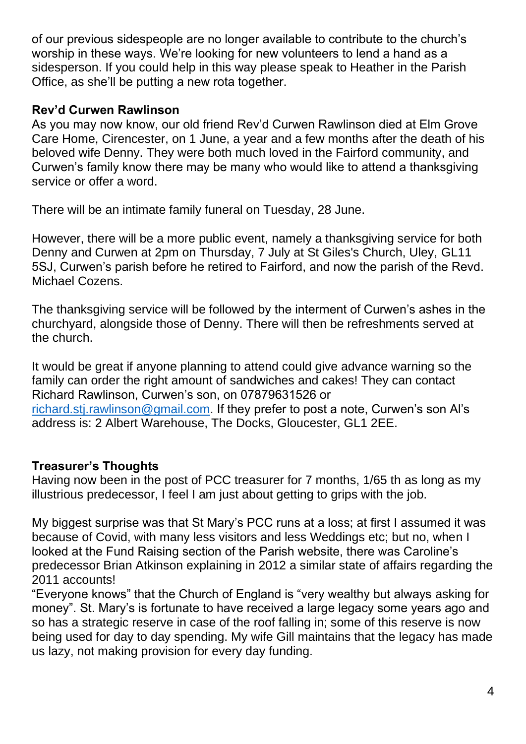of our previous sidespeople are no longer available to contribute to the church's worship in these ways. We're looking for new volunteers to lend a hand as a sidesperson. If you could help in this way please speak to Heather in the Parish Office, as she'll be putting a new rota together.

## **Rev'd Curwen Rawlinson**

As you may now know, our old friend Rev'd Curwen Rawlinson died at Elm Grove Care Home, Cirencester, on 1 June, a year and a few months after the death of his beloved wife Denny. They were both much loved in the Fairford community, and Curwen's family know there may be many who would like to attend a thanksgiving service or offer a word.

There will be an intimate family funeral on Tuesday, 28 June.

However, there will be a more public event, namely a thanksgiving service for both Denny and Curwen at 2pm on Thursday, 7 July at St Giles's Church, Uley, GL11 5SJ, Curwen's parish before he retired to Fairford, and now the parish of the Revd. Michael Cozens.

The thanksgiving service will be followed by the interment of Curwen's ashes in the churchyard, alongside those of Denny. There will then be refreshments served at the church.

It would be great if anyone planning to attend could give advance warning so the family can order the right amount of sandwiches and cakes! They can contact Richard Rawlinson, Curwen's son, on 07879631526 or [richard.stj.rawlinson@gmail.com.](mailto:richard.stj.rawlinson@gmail.com) If they prefer to post a note, Curwen's son Al's address is: 2 Albert Warehouse, The Docks, Gloucester, GL1 2EE.

# **Treasurer's Thoughts**

Having now been in the post of PCC treasurer for 7 months, 1/65 th as long as my illustrious predecessor, I feel I am just about getting to grips with the job.

My biggest surprise was that St Mary's PCC runs at a loss; at first I assumed it was because of Covid, with many less visitors and less Weddings etc; but no, when I looked at the Fund Raising section of the Parish website, there was Caroline's predecessor Brian Atkinson explaining in 2012 a similar state of affairs regarding the 2011 accounts!

"Everyone knows" that the Church of England is "very wealthy but always asking for money". St. Mary's is fortunate to have received a large legacy some years ago and so has a strategic reserve in case of the roof falling in; some of this reserve is now being used for day to day spending. My wife Gill maintains that the legacy has made us lazy, not making provision for every day funding.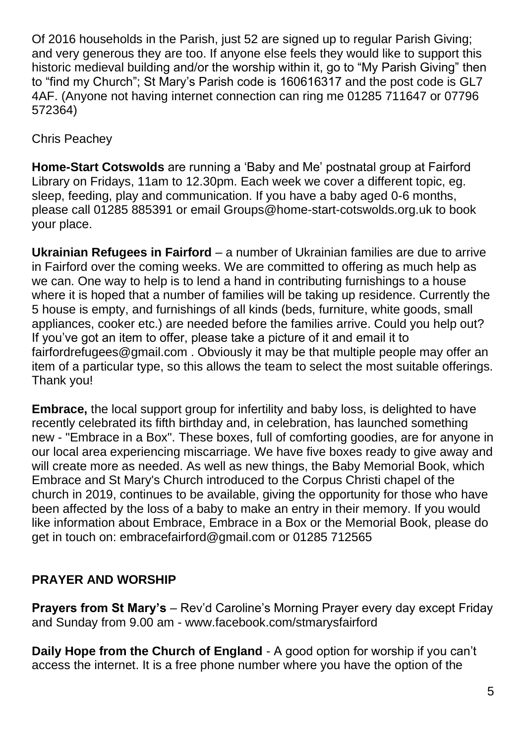Of 2016 households in the Parish, just 52 are signed up to regular Parish Giving; and very generous they are too. If anyone else feels they would like to support this historic medieval building and/or the worship within it, go to "My Parish Giving" then to "find my Church"; St Mary's Parish code is 160616317 and the post code is GL7 4AF. (Anyone not having internet connection can ring me 01285 711647 or 07796 572364)

Chris Peachey

**Home-Start Cotswolds** are running a 'Baby and Me' postnatal group at Fairford Library on Fridays, 11am to 12.30pm. Each week we cover a different topic, eg. sleep, feeding, play and communication. If you have a baby aged 0-6 months, please call 01285 885391 or email Groups@home-start-cotswolds.org.uk to book your place.

**Ukrainian Refugees in Fairford** – a number of Ukrainian families are due to arrive in Fairford over the coming weeks. We are committed to offering as much help as we can. One way to help is to lend a hand in contributing furnishings to a house where it is hoped that a number of families will be taking up residence. Currently the 5 house is empty, and furnishings of all kinds (beds, furniture, white goods, small appliances, cooker etc.) are needed before the families arrive. Could you help out? If you've got an item to offer, please take a picture of it and email it to fairfordrefugees@gmail.com . Obviously it may be that multiple people may offer an item of a particular type, so this allows the team to select the most suitable offerings. Thank you!

**Embrace,** the local support group for infertility and baby loss, is delighted to have recently celebrated its fifth birthday and, in celebration, has launched something new - "Embrace in a Box". These boxes, full of comforting goodies, are for anyone in our local area experiencing miscarriage. We have five boxes ready to give away and will create more as needed. As well as new things, the Baby Memorial Book, which Embrace and St Mary's Church introduced to the Corpus Christi chapel of the church in 2019, continues to be available, giving the opportunity for those who have been affected by the loss of a baby to make an entry in their memory. If you would like information about Embrace, Embrace in a Box or the Memorial Book, please do get in touch on: embracefairford@gmail.com or 01285 712565

# **PRAYER AND WORSHIP**

**Prayers from St Mary's** – Rev'd Caroline's Morning Prayer every day except Friday and Sunday from 9.00 am - www.facebook.com/stmarysfairford

**Daily Hope from the Church of England** - A good option for worship if you can't access the internet. It is a free phone number where you have the option of the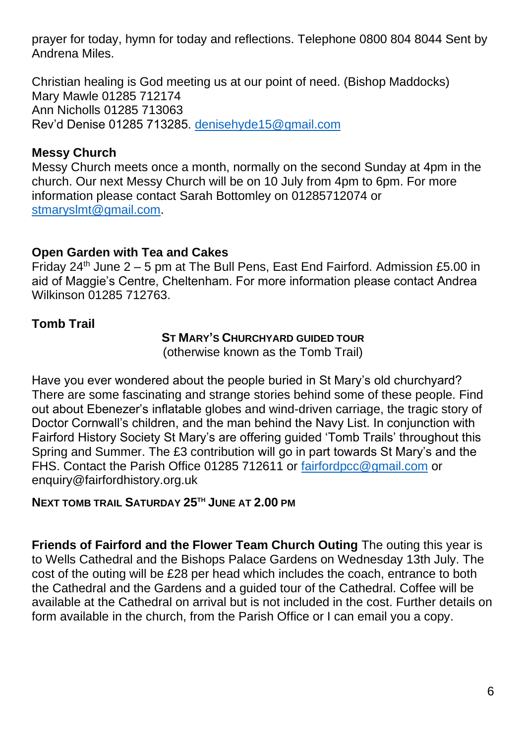prayer for today, hymn for today and reflections. Telephone 0800 804 8044 Sent by Andrena Miles.

Christian healing is God meeting us at our point of need. (Bishop Maddocks) Mary Mawle 01285 712174 Ann Nicholls 01285 713063 Rev'd Denise 01285 713285. [denisehyde15@gmail.com](mailto:denisehyde15@gmail.com)

# **Messy Church**

Messy Church meets once a month, normally on the second Sunday at 4pm in the church. Our next Messy Church will be on 10 July from 4pm to 6pm. For more information please contact Sarah Bottomley on 01285712074 or [stmaryslmt@gmail.com.](mailto:stmaryslmt@gmail.com)

## **Open Garden with Tea and Cakes**

Friday 24<sup>th</sup> June 2 – 5 pm at The Bull Pens, East End Fairford. Admission £5.00 in aid of Maggie's Centre, Cheltenham. For more information please contact Andrea Wilkinson 01285 712763.

## **Tomb Trail**

#### **ST MARY'S CHURCHYARD GUIDED TOUR**

(otherwise known as the Tomb Trail)

Have you ever wondered about the people buried in St Mary's old churchyard? There are some fascinating and strange stories behind some of these people. Find out about Ebenezer's inflatable globes and wind-driven carriage, the tragic story of Doctor Cornwall's children, and the man behind the Navy List. In conjunction with Fairford History Society St Mary's are offering guided 'Tomb Trails' throughout this Spring and Summer. The £3 contribution will go in part towards St Mary's and the FHS. Contact the Parish Office 01285 712611 or [fairfordpcc@gmail.com](mailto:fairfordpcc@gmail.com) or enquiry@fairfordhistory.org.uk

### **NEXT TOMB TRAIL SATURDAY 25TH JUNE AT 2.00 PM**

**Friends of Fairford and the Flower Team Church Outing** The outing this year is to Wells Cathedral and the Bishops Palace Gardens on Wednesday 13th July. The cost of the outing will be £28 per head which includes the coach, entrance to both the Cathedral and the Gardens and a guided tour of the Cathedral. Coffee will be available at the Cathedral on arrival but is not included in the cost. Further details on form available in the church, from the Parish Office or I can email you a copy.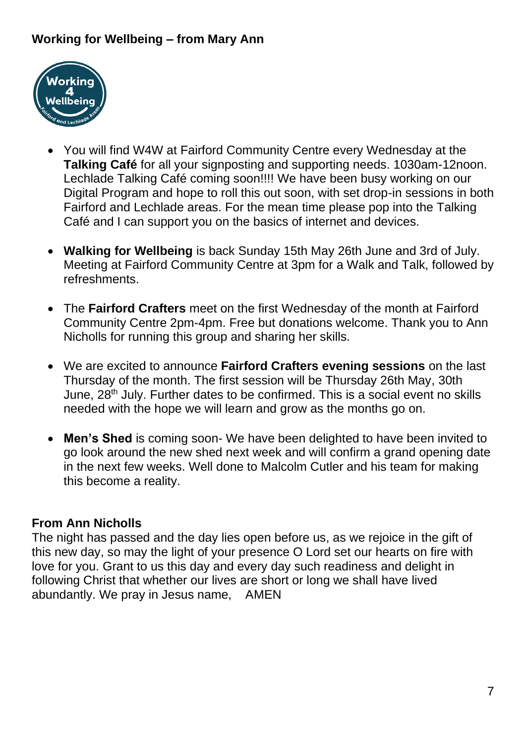# **Working for Wellbeing – from Mary Ann**



- You will find W4W at Fairford Community Centre every Wednesday at the **Talking Café** for all your signposting and supporting needs. 1030am-12noon. Lechlade Talking Café coming soon!!!! We have been busy working on our Digital Program and hope to roll this out soon, with set drop-in sessions in both Fairford and Lechlade areas. For the mean time please pop into the Talking Café and I can support you on the basics of internet and devices.
- **Walking for Wellbeing** is back Sunday 15th May 26th June and 3rd of July. Meeting at Fairford Community Centre at 3pm for a Walk and Talk, followed by refreshments.
- The **Fairford Crafters** meet on the first Wednesday of the month at Fairford Community Centre 2pm-4pm. Free but donations welcome. Thank you to Ann Nicholls for running this group and sharing her skills.
- We are excited to announce **Fairford Crafters evening sessions** on the last Thursday of the month. The first session will be Thursday 26th May, 30th June, 28th July. Further dates to be confirmed. This is a social event no skills needed with the hope we will learn and grow as the months go on.
- **Men's Shed** is coming soon- We have been delighted to have been invited to go look around the new shed next week and will confirm a grand opening date in the next few weeks. Well done to Malcolm Cutler and his team for making this become a reality.

### **From Ann Nicholls**

The night has passed and the day lies open before us, as we rejoice in the gift of this new day, so may the light of your presence O Lord set our hearts on fire with love for you. Grant to us this day and every day such readiness and delight in following Christ that whether our lives are short or long we shall have lived abundantly. We pray in Jesus name, AMEN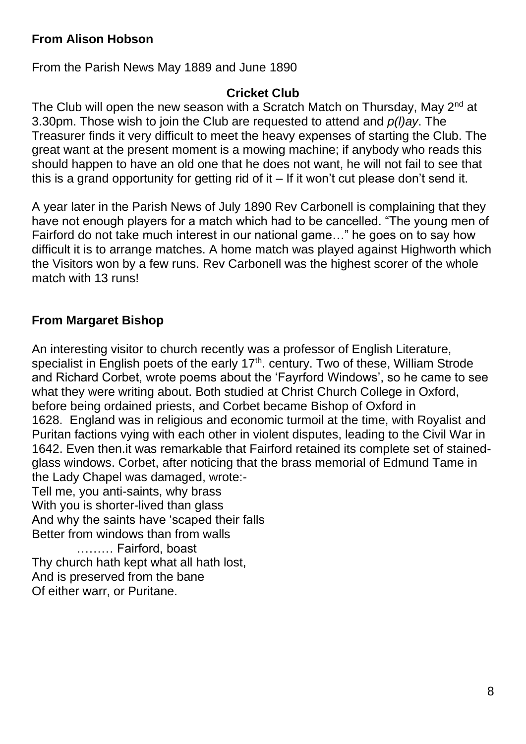# **From Alison Hobson**

From the Parish News May 1889 and June 1890

#### **Cricket Club**

The Club will open the new season with a Scratch Match on Thursday, May  $2^{nd}$  at 3.30pm. Those wish to join the Club are requested to attend and *p(l)ay*. The Treasurer finds it very difficult to meet the heavy expenses of starting the Club. The great want at the present moment is a mowing machine; if anybody who reads this should happen to have an old one that he does not want, he will not fail to see that this is a grand opportunity for getting rid of it  $-$  If it won't cut please don't send it.

A year later in the Parish News of July 1890 Rev Carbonell is complaining that they have not enough players for a match which had to be cancelled. "The young men of Fairford do not take much interest in our national game…" he goes on to say how difficult it is to arrange matches. A home match was played against Highworth which the Visitors won by a few runs. Rev Carbonell was the highest scorer of the whole match with 13 runs!

## **From Margaret Bishop**

An interesting visitor to church recently was a professor of English Literature, specialist in English poets of the early  $17<sup>th</sup>$ . century. Two of these, William Strode and Richard Corbet, wrote poems about the 'Fayrford Windows', so he came to see what they were writing about. Both studied at Christ Church College in Oxford, before being ordained priests, and Corbet became Bishop of Oxford in 1628. England was in religious and economic turmoil at the time, with Royalist and Puritan factions vying with each other in violent disputes, leading to the Civil War in 1642. Even then.it was remarkable that Fairford retained its complete set of stainedglass windows. Corbet, after noticing that the brass memorial of Edmund Tame in the Lady Chapel was damaged, wrote:- Tell me, you anti-saints, why brass With you is shorter-lived than glass And why the saints have 'scaped their falls Better from windows than from walls ……… Fairford, boast Thy church hath kept what all hath lost, And is preserved from the bane Of either warr, or Puritane.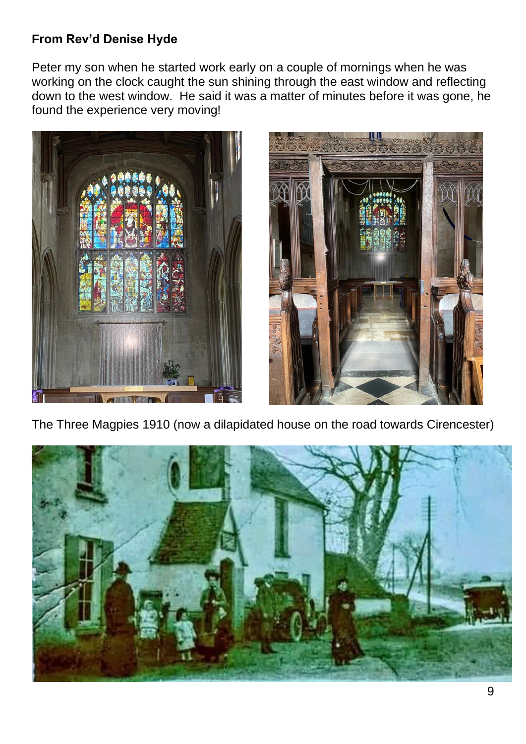# **From Rev'd Denise Hyde**

Peter my son when he started work early on a couple of mornings when he was working on the clock caught the sun shining through the east window and reflecting down to the west window. He said it was a matter of minutes before it was gone, he found the experience very moving!





The Three Magpies 1910 (now a dilapidated house on the road towards Cirencester)

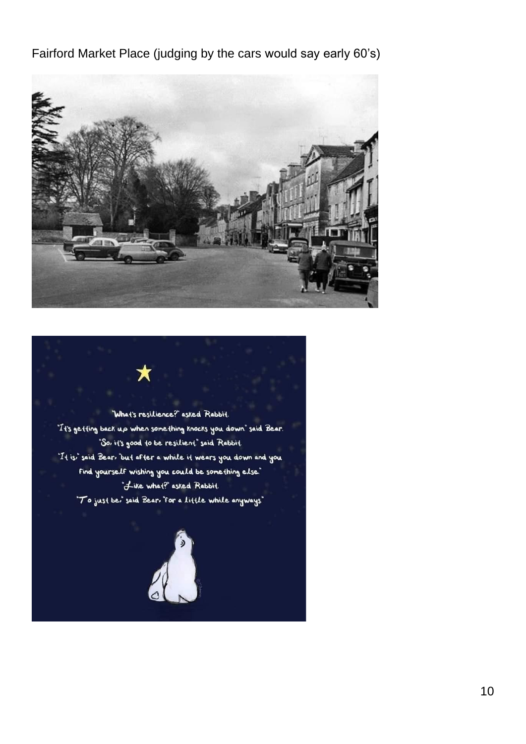Fairford Market Place (judging by the cars would say early 60's)